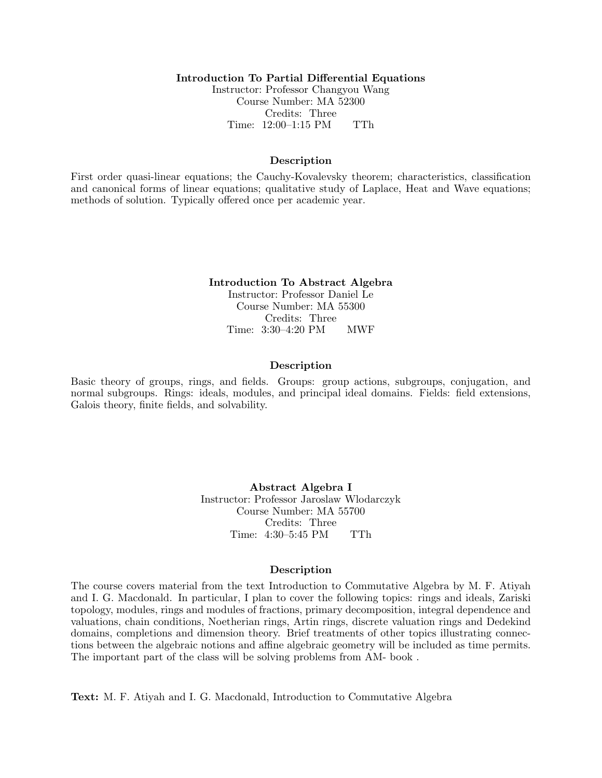# Introduction To Partial Differential Equations

Instructor: Professor Changyou Wang Course Number: MA 52300 Credits: Three Time: 12:00–1:15 PM TTh

### Description

First order quasi-linear equations; the Cauchy-Kovalevsky theorem; characteristics, classification and canonical forms of linear equations; qualitative study of Laplace, Heat and Wave equations; methods of solution. Typically offered once per academic year.

#### Introduction To Abstract Algebra

Instructor: Professor Daniel Le Course Number: MA 55300 Credits: Three Time: 3:30–4:20 PM MWF

#### Description

Basic theory of groups, rings, and fields. Groups: group actions, subgroups, conjugation, and normal subgroups. Rings: ideals, modules, and principal ideal domains. Fields: field extensions, Galois theory, finite fields, and solvability.

> Abstract Algebra I Instructor: Professor Jaroslaw Wlodarczyk Course Number: MA 55700 Credits: Three Time: 4:30–5:45 PM TTh

### Description

The course covers material from the text Introduction to Commutative Algebra by M. F. Atiyah and I. G. Macdonald. In particular, I plan to cover the following topics: rings and ideals, Zariski topology, modules, rings and modules of fractions, primary decomposition, integral dependence and valuations, chain conditions, Noetherian rings, Artin rings, discrete valuation rings and Dedekind domains, completions and dimension theory. Brief treatments of other topics illustrating connections between the algebraic notions and affine algebraic geometry will be included as time permits. The important part of the class will be solving problems from AM- book .

Text: M. F. Atiyah and I. G. Macdonald, Introduction to Commutative Algebra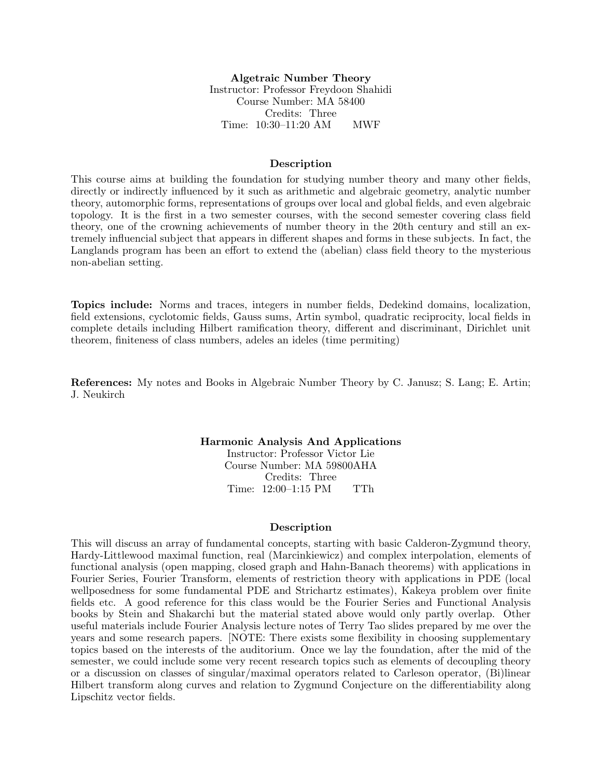# Algetraic Number Theory Instructor: Professor Freydoon Shahidi Course Number: MA 58400 Credits: Three Time: 10:30–11:20 AM MWF

#### Description

This course aims at building the foundation for studying number theory and many other fields, directly or indirectly influenced by it such as arithmetic and algebraic geometry, analytic number theory, automorphic forms, representations of groups over local and global fields, and even algebraic topology. It is the first in a two semester courses, with the second semester covering class field theory, one of the crowning achievements of number theory in the 20th century and still an extremely influencial subject that appears in different shapes and forms in these subjects. In fact, the Langlands program has been an effort to extend the (abelian) class field theory to the mysterious non-abelian setting.

Topics include: Norms and traces, integers in number fields, Dedekind domains, localization, field extensions, cyclotomic fields, Gauss sums, Artin symbol, quadratic reciprocity, local fields in complete details including Hilbert ramification theory, different and discriminant, Dirichlet unit theorem, finiteness of class numbers, adeles an ideles (time permiting)

References: My notes and Books in Algebraic Number Theory by C. Janusz; S. Lang; E. Artin; J. Neukirch

Harmonic Analysis And Applications

Instructor: Professor Victor Lie Course Number: MA 59800AHA Credits: Three Time: 12:00–1:15 PM TTh

#### Description

This will discuss an array of fundamental concepts, starting with basic Calderon-Zygmund theory, Hardy-Littlewood maximal function, real (Marcinkiewicz) and complex interpolation, elements of functional analysis (open mapping, closed graph and Hahn-Banach theorems) with applications in Fourier Series, Fourier Transform, elements of restriction theory with applications in PDE (local wellposedness for some fundamental PDE and Strichartz estimates), Kakeya problem over finite fields etc. A good reference for this class would be the Fourier Series and Functional Analysis books by Stein and Shakarchi but the material stated above would only partly overlap. Other useful materials include Fourier Analysis lecture notes of Terry Tao slides prepared by me over the years and some research papers. [NOTE: There exists some flexibility in choosing supplementary topics based on the interests of the auditorium. Once we lay the foundation, after the mid of the semester, we could include some very recent research topics such as elements of decoupling theory or a discussion on classes of singular/maximal operators related to Carleson operator, (Bi)linear Hilbert transform along curves and relation to Zygmund Conjecture on the differentiability along Lipschitz vector fields.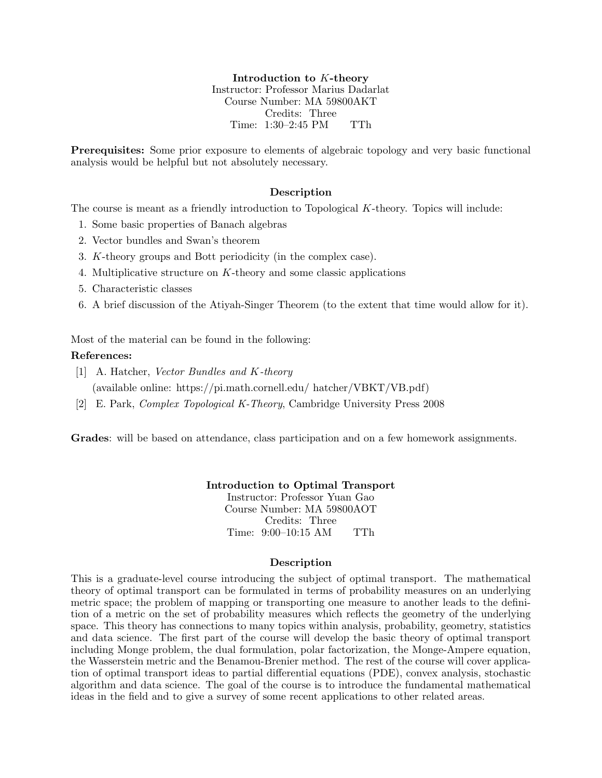Introduction to K-theory Instructor: Professor Marius Dadarlat Course Number: MA 59800AKT Credits: Three Time: 1:30–2:45 PM TTh

Prerequisites: Some prior exposure to elements of algebraic topology and very basic functional analysis would be helpful but not absolutely necessary.

# Description

The course is meant as a friendly introduction to Topological K-theory. Topics will include:

- 1. Some basic properties of Banach algebras
- 2. Vector bundles and Swan's theorem
- 3. K-theory groups and Bott periodicity (in the complex case).
- 4. Multiplicative structure on K-theory and some classic applications
- 5. Characteristic classes
- 6. A brief discussion of the Atiyah-Singer Theorem (to the extent that time would allow for it).

Most of the material can be found in the following:

# References:

- [1] A. Hatcher, Vector Bundles and K-theory (available online: https://pi.math.cornell.edu/ hatcher/VBKT/VB.pdf)
- [2] E. Park, Complex Topological K-Theory, Cambridge University Press 2008

Grades: will be based on attendance, class participation and on a few homework assignments.

Introduction to Optimal Transport Instructor: Professor Yuan Gao

Course Number: MA 59800AOT Credits: Three Time: 9:00–10:15 AM TTh

## Description

This is a graduate-level course introducing the subject of optimal transport. The mathematical theory of optimal transport can be formulated in terms of probability measures on an underlying metric space; the problem of mapping or transporting one measure to another leads to the definition of a metric on the set of probability measures which reflects the geometry of the underlying space. This theory has connections to many topics within analysis, probability, geometry, statistics and data science. The first part of the course will develop the basic theory of optimal transport including Monge problem, the dual formulation, polar factorization, the Monge-Ampere equation, the Wasserstein metric and the Benamou-Brenier method. The rest of the course will cover application of optimal transport ideas to partial differential equations (PDE), convex analysis, stochastic algorithm and data science. The goal of the course is to introduce the fundamental mathematical ideas in the field and to give a survey of some recent applications to other related areas.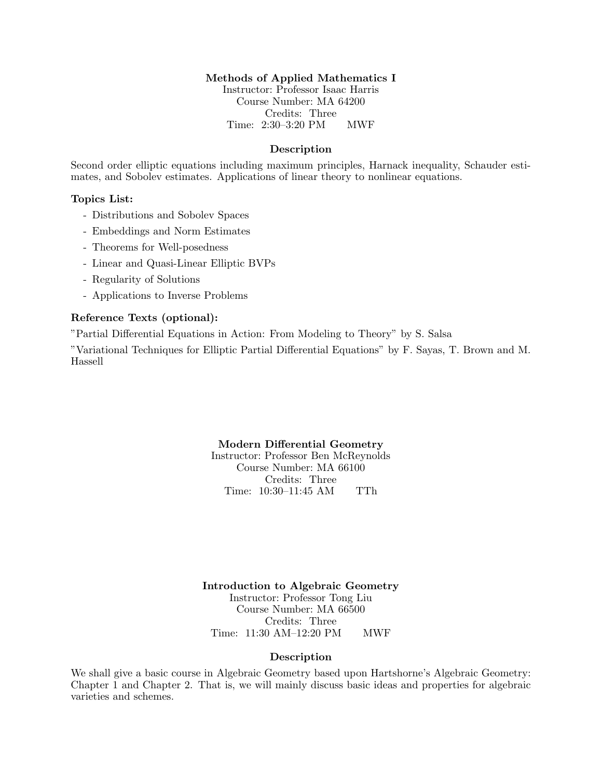# Methods of Applied Mathematics I

Instructor: Professor Isaac Harris Course Number: MA 64200 Credits: Three Time: 2:30–3:20 PM MWF

## Description

Second order elliptic equations including maximum principles, Harnack inequality, Schauder estimates, and Sobolev estimates. Applications of linear theory to nonlinear equations.

# Topics List:

- Distributions and Sobolev Spaces
- Embeddings and Norm Estimates
- Theorems for Well-posedness
- Linear and Quasi-Linear Elliptic BVPs
- Regularity of Solutions
- Applications to Inverse Problems

# Reference Texts (optional):

"Partial Differential Equations in Action: From Modeling to Theory" by S. Salsa

"Variational Techniques for Elliptic Partial Differential Equations" by F. Sayas, T. Brown and M. Hassell

### Modern Differential Geometry

Instructor: Professor Ben McReynolds Course Number: MA 66100 Credits: Three Time: 10:30–11:45 AM TTh

Introduction to Algebraic Geometry Instructor: Professor Tong Liu Course Number: MA 66500 Credits: Three Time: 11:30 AM–12:20 PM MWF

### Description

We shall give a basic course in Algebraic Geometry based upon Hartshorne's Algebraic Geometry: Chapter 1 and Chapter 2. That is, we will mainly discuss basic ideas and properties for algebraic varieties and schemes.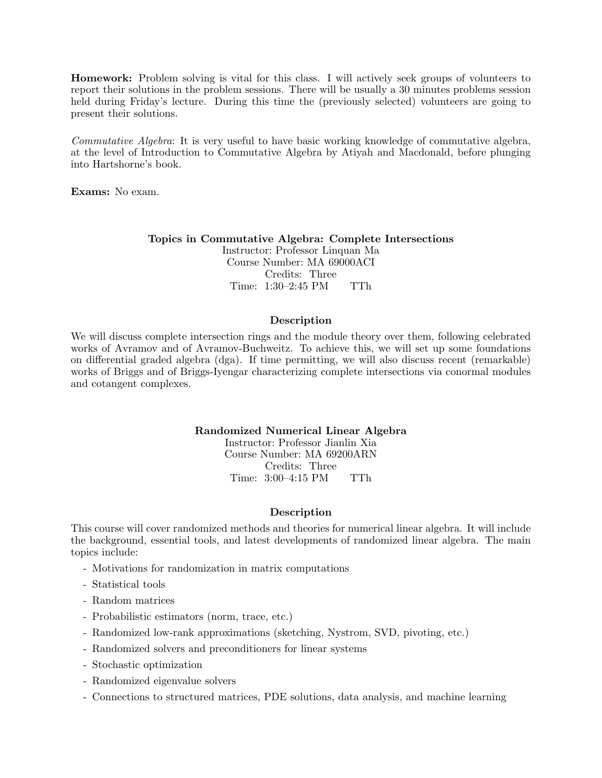Homework: Problem solving is vital for this class. I will actively seek groups of volunteers to report their solutions in the problem sessions. There will be usually a 30 minutes problems session held during Friday's lecture. During this time the (previously selected) volunteers are going to present their solutions.

Commutative Algebra: It is very useful to have basic working knowledge of commutative algebra, at the level of Introduction to Commutative Algebra by Atiyah and Macdonald, before plunging into Hartshorne's book.

Exams: No exam.

### Topics in Commutative Algebra: Complete Intersections

Instructor: Professor Linquan Ma Course Number: MA 69000ACI Credits: Three Time: 1:30–2:45 PM TTh

# Description

We will discuss complete intersection rings and the module theory over them, following celebrated works of Avramov and of Avramov-Buchweitz. To achieve this, we will set up some foundations on differential graded algebra (dga). If time permitting, we will also discuss recent (remarkable) works of Briggs and of Briggs-Iyengar characterizing complete intersections via conormal modules and cotangent complexes.

# Randomized Numerical Linear Algebra

Instructor: Professor Jianlin Xia Course Number: MA 69200ARN Credits: Three Time: 3:00–4:15 PM TTh

## Description

This course will cover randomized methods and theories for numerical linear algebra. It will include the background, essential tools, and latest developments of randomized linear algebra. The main topics include:

- Motivations for randomization in matrix computations
- Statistical tools
- Random matrices
- Probabilistic estimators (norm, trace, etc.)
- Randomized low-rank approximations (sketching, Nystrom, SVD, pivoting, etc.)
- Randomized solvers and preconditioners for linear systems
- Stochastic optimization
- Randomized eigenvalue solvers
- Connections to structured matrices, PDE solutions, data analysis, and machine learning